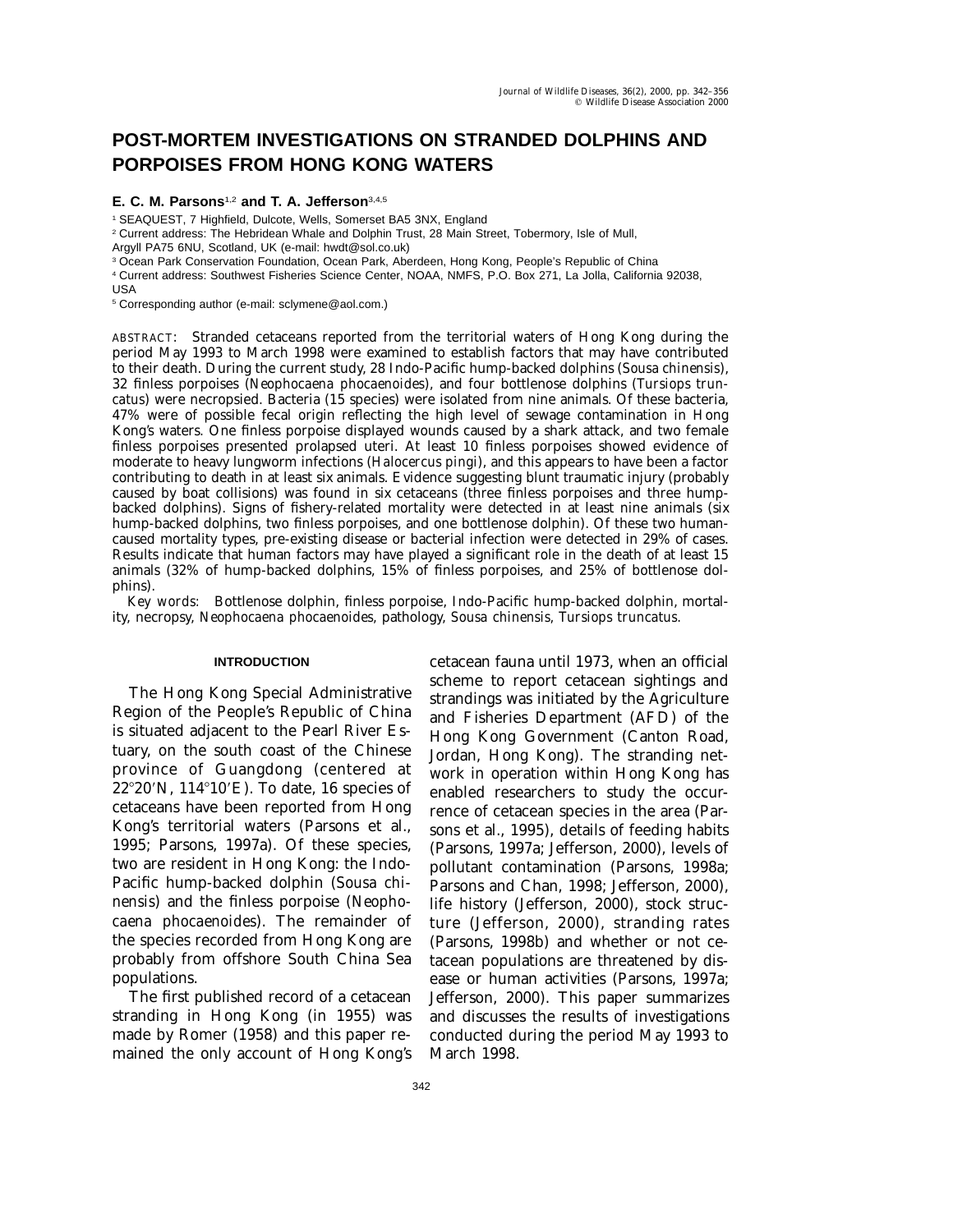# **POST-MORTEM INVESTIGATIONS ON STRANDED DOLPHINS AND PORPOISES FROM HONG KONG WATERS**

## **E. C. M. Parsons**1,2 **and T. A. Jefferson**3,4,5

<sup>1</sup> SEAQUEST, 7 Highfield, Dulcote, Wells, Somerset BA5 3NX, England

<sup>2</sup> Current address: The Hebridean Whale and Dolphin Trust, 28 Main Street, Tobermory, Isle of Mull,

Argyll PA75 6NU, Scotland, UK (e-mail: hwdt@sol.co.uk)

<sup>3</sup> Ocean Park Conservation Foundation, Ocean Park, Aberdeen, Hong Kong, People's Republic of China

<sup>4</sup> Current address: Southwest Fisheries Science Center, NOAA, NMFS, P.O. Box 271, La Jolla, California 92038,

USA

<sup>5</sup> Corresponding author (e-mail: sclymene@aol.com.)

ABSTRACT: Stranded cetaceans reported from the territorial waters of Hong Kong during the period May 1993 to March 1998 were examined to establish factors that may have contributed to their death. During the current study, 28 Indo-Pacific hump-backed dolphins (*Sousa chinensis*), 32 finless porpoises (*Neophocaena phocaenoides*), and four bottlenose dolphins (*Tursiops truncatus*) were necropsied. Bacteria (15 species) were isolated from nine animals. Of these bacteria, 47% were of possible fecal origin reflecting the high level of sewage contamination in Hong Kong's waters. One finless porpoise displayed wounds caused by a shark attack, and two female finless porpoises presented prolapsed uteri. At least 10 finless porpoises showed evidence of moderate to heavy lungworm infections (*Halocercus pingi*), and this appears to have been a factor contributing to death in at least six animals. Evidence suggesting blunt traumatic injury (probably caused by boat collisions) was found in six cetaceans (three finless porpoises and three humpbacked dolphins). Signs of fishery-related mortality were detected in at least nine animals (six hump-backed dolphins, two finless porpoises, and one bottlenose dolphin). Of these two humancaused mortality types, pre-existing disease or bacterial infection were detected in 29% of cases. Results indicate that human factors may have played a significant role in the death of at least 15 animals (32% of hump-backed dolphins, 15% of finless porpoises, and 25% of bottlenose dolphins).

*Key words:* Bottlenose dolphin, finless porpoise, Indo-Pacific hump-backed dolphin, mortality, necropsy, *Neophocaena phocaenoides,* pathology, *Sousa chinensis, Tursiops truncatus.*

#### **INTRODUCTION**

The Hong Kong Special Administrative Region of the People's Republic of China is situated adjacent to the Pearl River Estuary, on the south coast of the Chinese province of Guangdong (centered at  $22^{\circ}20'$ N,  $114^{\circ}10'E$ ). To date, 16 species of cetaceans have been reported from Hong Kong's territorial waters (Parsons et al., 1995; Parsons, 1997a). Of these species, two are resident in Hong Kong: the Indo-Pacific hump-backed dolphin (*Sousa chinensis*) and the finless porpoise (*Neophocaena phocaenoides*). The remainder of the species recorded from Hong Kong are probably from offshore South China Sea populations.

The first published record of a cetacean stranding in Hong Kong (in 1955) was made by Romer (1958) and this paper remained the only account of Hong Kong's

cetacean fauna until 1973, when an official scheme to report cetacean sightings and strandings was initiated by the Agriculture and Fisheries Department (AFD) of the Hong Kong Government (Canton Road, Jordan, Hong Kong). The stranding network in operation within Hong Kong has enabled researchers to study the occurrence of cetacean species in the area (Parsons et al., 1995), details of feeding habits (Parsons, 1997a; Jefferson, 2000), levels of pollutant contamination (Parsons, 1998a; Parsons and Chan, 1998; Jefferson, 2000), life history (Jefferson, 2000), stock structure (Jefferson, 2000), stranding rates (Parsons, 1998b) and whether or not cetacean populations are threatened by disease or human activities (Parsons, 1997a; Jefferson, 2000). This paper summarizes and discusses the results of investigations conducted during the period May 1993 to March 1998.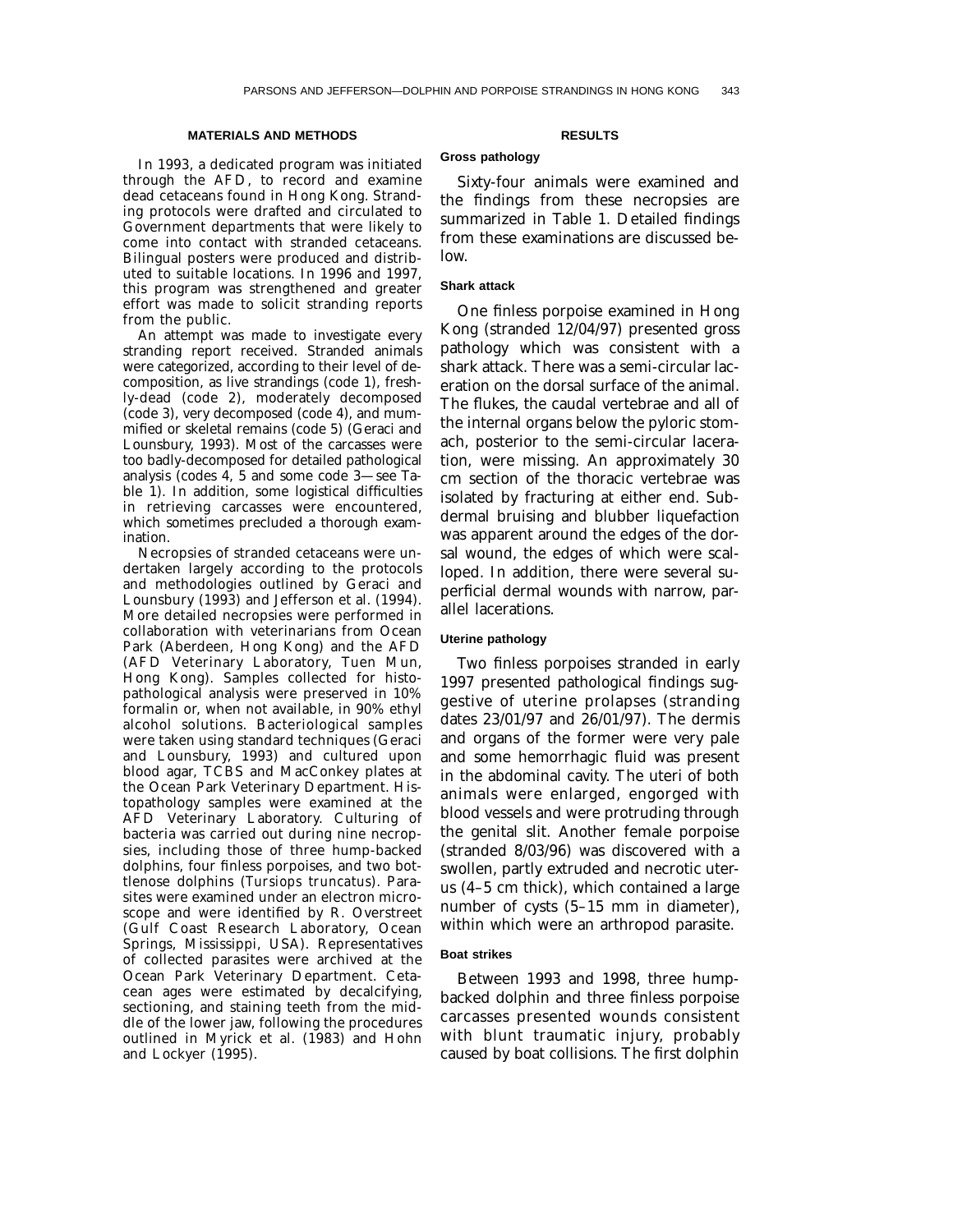#### **MATERIALS AND METHODS**

In 1993, a dedicated program was initiated through the AFD, to record and examine dead cetaceans found in Hong Kong. Stranding protocols were drafted and circulated to Government departments that were likely to come into contact with stranded cetaceans. Bilingual posters were produced and distributed to suitable locations. In 1996 and 1997, this program was strengthened and greater effort was made to solicit stranding reports from the public.

An attempt was made to investigate every stranding report received. Stranded animals were categorized, according to their level of decomposition, as live strandings (code 1), freshly-dead (code 2), moderately decomposed (code 3), very decomposed (code 4), and mummified or skeletal remains (code 5) (Geraci and Lounsbury, 1993). Most of the carcasses were too badly-decomposed for detailed pathological analysis (codes 4, 5 and some code 3—see Table 1). In addition, some logistical difficulties in retrieving carcasses were encountered, which sometimes precluded a thorough examination.

Necropsies of stranded cetaceans were undertaken largely according to the protocols and methodologies outlined by Geraci and Lounsbury (1993) and Jefferson et al. (1994). More detailed necropsies were performed in collaboration with veterinarians from Ocean Park (Aberdeen, Hong Kong) and the AFD (AFD Veterinary Laboratory, Tuen Mun, Hong Kong). Samples collected for histopathological analysis were preserved in 10% formalin or, when not available, in 90% ethyl alcohol solutions. Bacteriological samples were taken using standard techniques (Geraci and Lounsbury, 1993) and cultured upon blood agar, TCBS and MacConkey plates at the Ocean Park Veterinary Department. Histopathology samples were examined at the AFD Veterinary Laboratory. Culturing of bacteria was carried out during nine necropsies, including those of three hump-backed dolphins, four finless porpoises, and two bottlenose dolphins (*Tursiops truncatus*). Parasites were examined under an electron microscope and were identified by R. Overstreet (Gulf Coast Research Laboratory, Ocean Springs, Mississippi, USA). Representatives of collected parasites were archived at the Ocean Park Veterinary Department. Cetacean ages were estimated by decalcifying, sectioning, and staining teeth from the middle of the lower jaw, following the procedures outlined in Myrick et al. (1983) and Hohn and Lockyer (1995).

#### **RESULTS**

## **Gross pathology**

Sixty-four animals were examined and the findings from these necropsies are summarized in Table 1. Detailed findings from these examinations are discussed below.

## **Shark attack**

One finless porpoise examined in Hong Kong (stranded 12/04/97) presented gross pathology which was consistent with a shark attack. There was a semi-circular laceration on the dorsal surface of the animal. The flukes, the caudal vertebrae and all of the internal organs below the pyloric stomach, posterior to the semi-circular laceration, were missing. An approximately 30 cm section of the thoracic vertebrae was isolated by fracturing at either end. Subdermal bruising and blubber liquefaction was apparent around the edges of the dorsal wound, the edges of which were scalloped. In addition, there were several superficial dermal wounds with narrow, parallel lacerations.

#### **Uterine pathology**

Two finless porpoises stranded in early 1997 presented pathological findings suggestive of uterine prolapses (stranding dates 23/01/97 and 26/01/97). The dermis and organs of the former were very pale and some hemorrhagic fluid was present in the abdominal cavity. The uteri of both animals were enlarged, engorged with blood vessels and were protruding through the genital slit. Another female porpoise (stranded 8/03/96) was discovered with a swollen, partly extruded and necrotic uterus (4–5 cm thick), which contained a large number of cysts (5–15 mm in diameter), within which were an arthropod parasite.

#### **Boat strikes**

Between 1993 and 1998, three humpbacked dolphin and three finless porpoise carcasses presented wounds consistent with blunt traumatic injury, probably caused by boat collisions. The first dolphin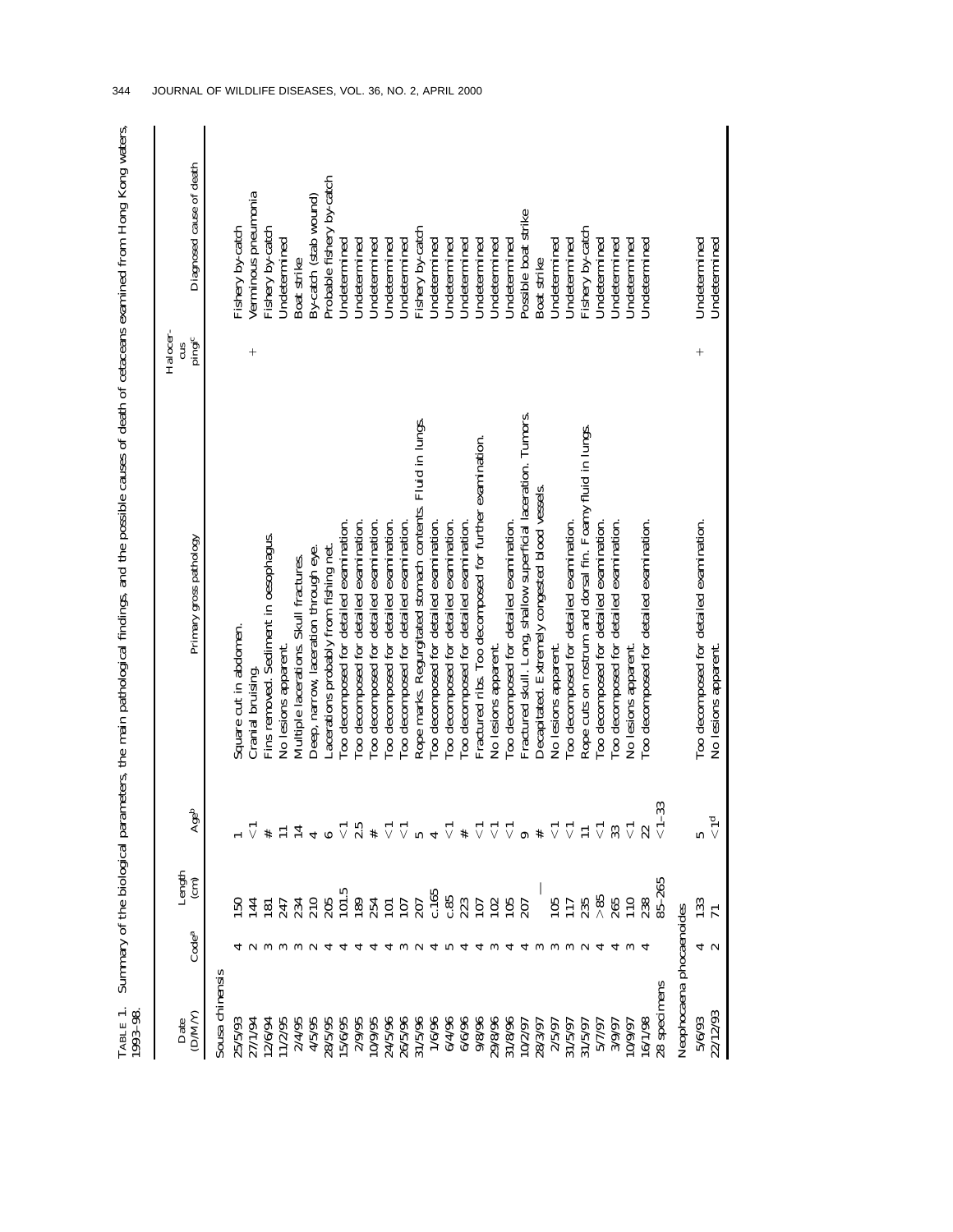| LABLE 1.<br>$.993 - 98$  |                   |                          |                       | Summary of the biological parameters, the main pathological findings, and the possible causes of death of cetaceans examined from Hong Kong waters, |                    |                           |
|--------------------------|-------------------|--------------------------|-----------------------|-----------------------------------------------------------------------------------------------------------------------------------------------------|--------------------|---------------------------|
| (DM/Y)<br>Date           | Code <sup>a</sup> | Length<br>$\binom{m}{n}$ | Ageb                  | Primary gross pathology                                                                                                                             | Halocer-<br>pingic | Diagnosed cause of death  |
| Sousa chinensis          |                   |                          |                       |                                                                                                                                                     |                    |                           |
| 25/5/93                  |                   | នី                       |                       | Square cut in abdomen.                                                                                                                              |                    | Fishery by-catch          |
| 27/1/94                  |                   | $\overline{14}$          |                       | Cranial bruising.                                                                                                                                   | $^{+}$             | Verminous pneumonia       |
| 12/6/94                  |                   | $\overline{8}$           |                       | Fins removed. Sediment in oesophagus.                                                                                                               |                    | Fishery by-catch          |
| 11/2/95                  |                   | 247                      |                       | No lesions apparent.                                                                                                                                |                    | Undetermined              |
| 2/4/95                   |                   | 234                      |                       | Multiple lacerations. Skull fractures.                                                                                                              |                    | Boat strike               |
| 4/5/95                   |                   | 210                      |                       | Deep, narrow, laceration through eye.                                                                                                               |                    | By-catch (stab wound)     |
| 28/5/95                  |                   | 205                      |                       | Lacerations probably from fishing net.                                                                                                              |                    | Probable fishery by-catch |
| 15/6/95                  |                   | $\frac{1}{2}$            |                       | Too decomposed for detailed examination.                                                                                                            |                    | Undetermined              |
| 2/9/95                   |                   | 189                      |                       | Too decomposed for detailed examination.                                                                                                            |                    | Undetermined              |
| 10/9/95                  |                   | 254                      |                       | Too decomposed for detailed examination.                                                                                                            |                    | Undetermined              |
| 24/5/96                  |                   | $\Xi$                    | $\triangledown$       | Too decomposed for detailed examination.                                                                                                            |                    | Undetermined              |
| 26/5/96                  |                   | 107                      | $\triangledown$       | Too decomposed for detailed examination.                                                                                                            |                    | Undetermined              |
| 31/5/96                  |                   | 207                      |                       | Rope marks. Regurgitated stomach contents. Fluid in lungs.                                                                                          |                    | Fishery by-catch          |
| 1/6/96                   |                   | c.165                    |                       | Too decomposed for detailed examination.                                                                                                            |                    | Undetermined              |
| 6/4/96                   |                   | 0.85                     |                       | Too decomposed for detailed examination.                                                                                                            |                    | Undetermined              |
| 6/6/96                   |                   | 223                      |                       | Too decomposed for detailed examination.                                                                                                            |                    | Undetermined              |
| 9/8/96                   |                   | 107                      |                       | Fractured ribs. Too decomposed for further examination.                                                                                             |                    | Undetermined              |
| 29/8/96                  |                   | 102                      |                       | No lesions apparent.                                                                                                                                |                    | Undetermined              |
| 31/8/96                  |                   | 105                      | $\triangledown$       | Too decomposed for detailed examination.                                                                                                            |                    | Undetermined              |
| 10/2/97                  |                   | 207                      |                       | Fractured skull. Long, shallow superficial laceration. Tumors.                                                                                      |                    | Possible boat strike      |
| 28/3/97                  | ∾                 |                          |                       | Decapitated. Extremely congested blood vessels                                                                                                      |                    | Boat strike               |
| 2/5/97                   |                   | 105                      | $\triangledown$       | No lesions apparent.                                                                                                                                |                    | Undetermined              |
| 31/5/97                  |                   | 117                      | $\triangledown$       | Too decomposed for detailed examination.                                                                                                            |                    | Undetermined              |
| 31/5/97                  |                   | 235                      | Ξ                     | Rope cuts on rostrum and dorsal fin. Foamy fluid in lungs.                                                                                          |                    | Fishery by-catch          |
| 5/7/97                   |                   | >85                      | $\triangledown$       | Too decomposed for detailed examination.                                                                                                            |                    | Undetermined              |
| 3/9/97                   |                   | 265                      | 33                    | Too decomposed for detailed examination.                                                                                                            |                    | Undetermined              |
| 10/9/97                  | ∾                 | 110                      | $\vec{\triangledown}$ | No lesions apparent.                                                                                                                                |                    | Undetermined              |
| 16/1/98                  |                   | 238                      | 22                    | Too decomposed for detailed examination.                                                                                                            |                    | Undetermined              |
| 28 specimens             |                   | $85 - 265$               | ကို                   |                                                                                                                                                     |                    |                           |
| Neophocaena phocaenoides |                   |                          |                       |                                                                                                                                                     |                    |                           |
| 5/6/93                   |                   | <sup>33</sup>            |                       | Too decomposed for detailed examination.                                                                                                            | $^{+}$             | Undetermined              |
| 22/12/93                 | + ໙               |                          | $\frac{1}{\sqrt{2}}$  | No lesions apparent.                                                                                                                                |                    | Undetermined              |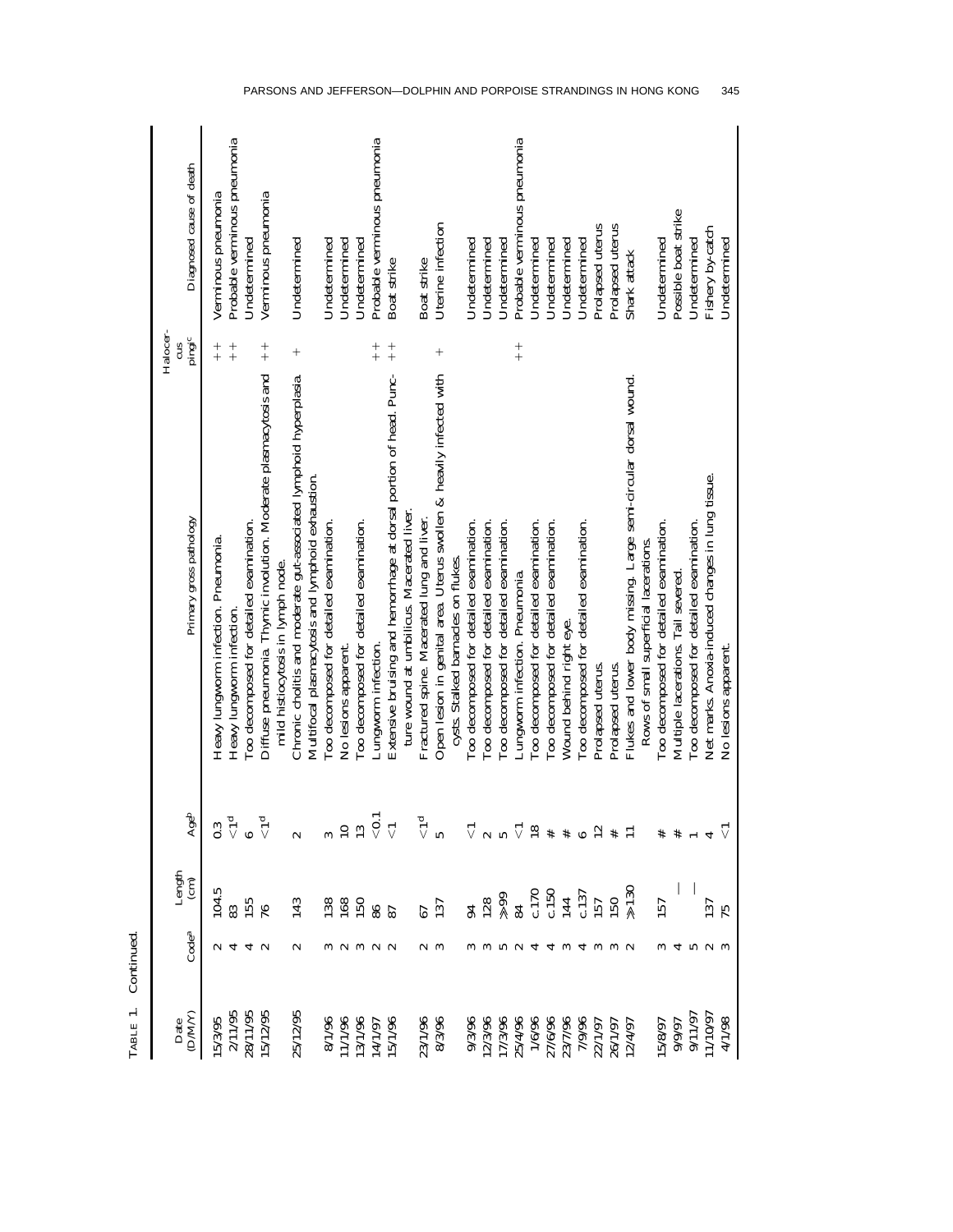| (DM/Y)<br>Date | Code <sup>a</sup>          | Length $\frac{1}{2}$ | Ageb                       | Halocer-<br>pingic<br>cπ<br>Primary gross pathology                           | Diagnosed cause of death     |
|----------------|----------------------------|----------------------|----------------------------|-------------------------------------------------------------------------------|------------------------------|
| 5/3/95         |                            | 04.5                 | 0.3                        | $+$<br>Heavy lungworm infection. Pneumonia.                                   | Verminous pneumonia          |
| 2/11/95        |                            |                      |                            | $+$<br>Heavy lungworm infection.                                              | Probable verminous pneumonia |
| 28/11/95       |                            |                      |                            | Too decomposed for detailed examination.                                      | Undetermined                 |
| 5/12/95        |                            |                      |                            | $+$<br>Diffuse pneumonia. Thymic involution. Moderate plasmacytosis and       | Verminous pneumonia          |
|                |                            |                      |                            | mild histiocytosis in lymph node.                                             |                              |
| 25/12/95       |                            |                      |                            | $^{+}$<br>Chronic cholitis and moderate gut-associated lymphoid hyperplasia.  | Undetermined                 |
|                |                            |                      |                            | Multifocal plasmacytosis and lymphoid exhaustion.                             |                              |
| 8/1/96         |                            |                      |                            | Too decomposed for detailed examination.                                      | Undetermined                 |
| 11/1/96        |                            | $\frac{8}{8}$        |                            | No lesions apparent.                                                          | Undetermined                 |
| 13/1/96        |                            | 150                  | $\frac{10}{13}$            | Too decomposed for detailed examination.                                      | Undetermined                 |
| 14/1/97        | $\alpha$ $\alpha$ $\alpha$ | 86                   | $\stackrel{\bullet}{\vee}$ | $+$<br>Lungworm infection.                                                    | Probable verminous pneumonia |
| 5/1/96         |                            | 87                   | $\overline{\vee}$          | $+$<br>Extensive bruising and hemorrhage at dorsal portion of head. Punc-     | Boat strike                  |
|                |                            |                      |                            | ture wound at umbilicus. Macerated liver.                                     |                              |
| 23/1/96        |                            | 67                   | $\tilde{\vec{v}}$          | Fractured spine. Macerated lung and liver.                                    | Boat strike                  |
| 8/3/96         |                            | 137                  |                            | $^{+}$<br>Open lesion in genital area. Uterus swollen & heavily infected with | Uterine infection            |
|                |                            |                      |                            | cysts. Stalked barnacles on flukes.                                           |                              |
| 9/3/96         |                            | $\overline{5}$       | $\vec{\triangledown}$      | Too decomposed for detailed examination.                                      | Undetermined                 |
| 12/3/96        |                            | $\frac{128}{89}$     |                            | Too decomposed for detailed examination.                                      | Undetermined                 |
| 17/3/96        |                            |                      |                            | Too decomposed for detailed examination.                                      | Undetermined                 |
| 25/4/96        |                            |                      | $\vec{\triangledown}$      | $+$<br>Lungworm infection. Pneumonia.                                         | Probable verminous pneumonia |
| 1/6/96         |                            |                      | 18                         | Too decomposed for detailed examination.                                      | Undetermined                 |
| 27/6/96        |                            | $\frac{170}{1437}$   |                            | Too decomposed for detailed examination.                                      | Undetermined                 |
| 23/7/96        |                            |                      |                            | Wound behind right eye.                                                       | Undetermined                 |
| 7/9/96         |                            |                      |                            | Too decomposed for detailed examination.                                      | Undetermined                 |
| 22/1/97        |                            |                      |                            | Prolapsed uterus.                                                             | Prolapsed uterus             |
| 26/1/97        |                            | 50                   |                            | Prolapsed uterus.                                                             | Prolapsed uterus             |
| 2/4/97         |                            |                      |                            | Flukes and lower body missing. Large semi-circular dorsal wound.              | Shark attack                 |
|                |                            |                      |                            | Rows of small superficial lacerations.                                        |                              |
| 5/8/97         |                            | 57                   |                            | Too decomposed for detailed examination.                                      | Undetermined                 |
| 0/9/97         |                            |                      |                            | Multiple lacerations. Tail severed.                                           | Possible boat strike         |
| 9/11/97        |                            |                      |                            | Too decomposed for detailed examination.                                      | Undetermined                 |
| 11/10/97       |                            |                      |                            | Net marks. Anoxia-induced changes in lung tissue.                             | Fishery by-catch             |
| 4/1/98         |                            | مبر                  |                            | No lesions apparent.                                                          | Undetermined                 |

| ï |  |
|---|--|
|   |  |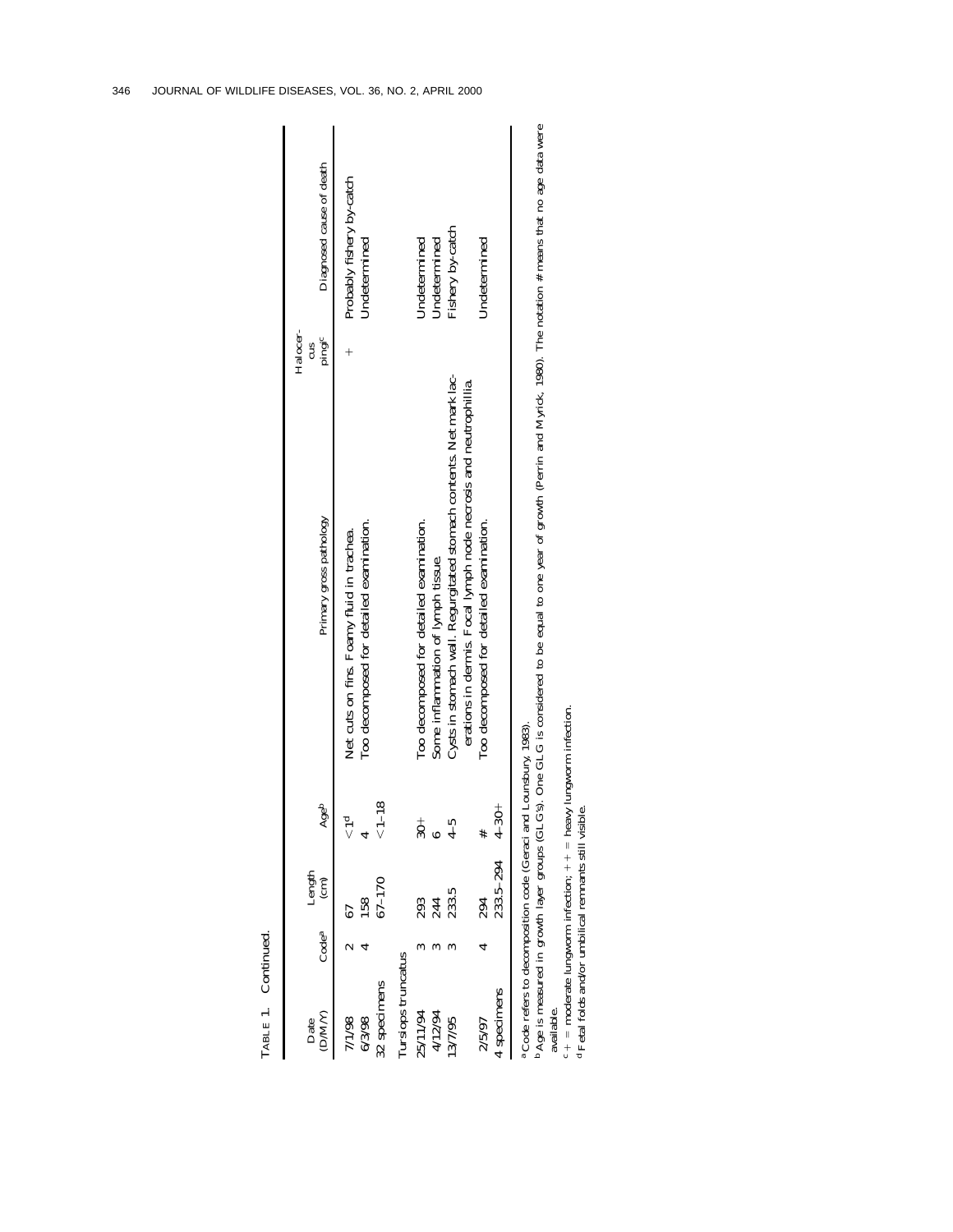| LABLE 1. Continued                |               |                                   |                |                                                                                                                                         |                                           |
|-----------------------------------|---------------|-----------------------------------|----------------|-----------------------------------------------------------------------------------------------------------------------------------------|-------------------------------------------|
| MWC<br>Date                       | $\rm{Code}^a$ | $L$ ength $\rm \frac{(cm)}{(cm)}$ | Ageb           | Halocer-<br>pingic<br>cus<br>Primary gross pathology                                                                                    | Diagnosed cause of death                  |
| 6/3/98<br>1/1/98                  |               | 58                                |                | Too decomposed for detailed examination.<br>Net cuts on fins. Foamy fluid in trachea.                                                   | Probably fishery by-catch<br>Undetermined |
| ursiops truncatus<br>32 specimens |               | $37 - 170$                        | $1 - 18$       |                                                                                                                                         |                                           |
| 25/11/94                          |               |                                   | $\frac{+}{30}$ | Too decomposed for detailed examination.                                                                                                | Undetermined                              |
| 4/12/94                           |               | 293<br>244<br>233.5               |                | Some inflammation of lymph tissue.                                                                                                      | Undetermined                              |
| 13/7/95                           |               |                                   | $4 - 5$        | Cysts in stomach wall. Regurgitated stomach contents. Net mark lac-<br>erations in dermis. Focal lymph node necrosis and neutrophillia. | Fishery by-catch                          |
| 2/5/97                            |               | 294                               |                | Too decomposed for detailed examination.                                                                                                | Undetermined                              |
| specimens                         |               | $233.5 - 294$                     | $4 - 30 +$     |                                                                                                                                         |                                           |
|                                   |               |                                   |                |                                                                                                                                         |                                           |

Code refers to decomposition code (Geraci and Lounsbury, 1983).

 Age is measured in growth layer groups (GLG's). One GLG is considered to be equal to one year of growth (Perrin and Myrick, 1980). The notation # means that no age data were available. available. a a

ು <del>ಪ</del>

 $c + =$  moderate lungworm infection;  $++ =$  heavy lungworm infection. Fetal folds and/or umbilical remnants still visible.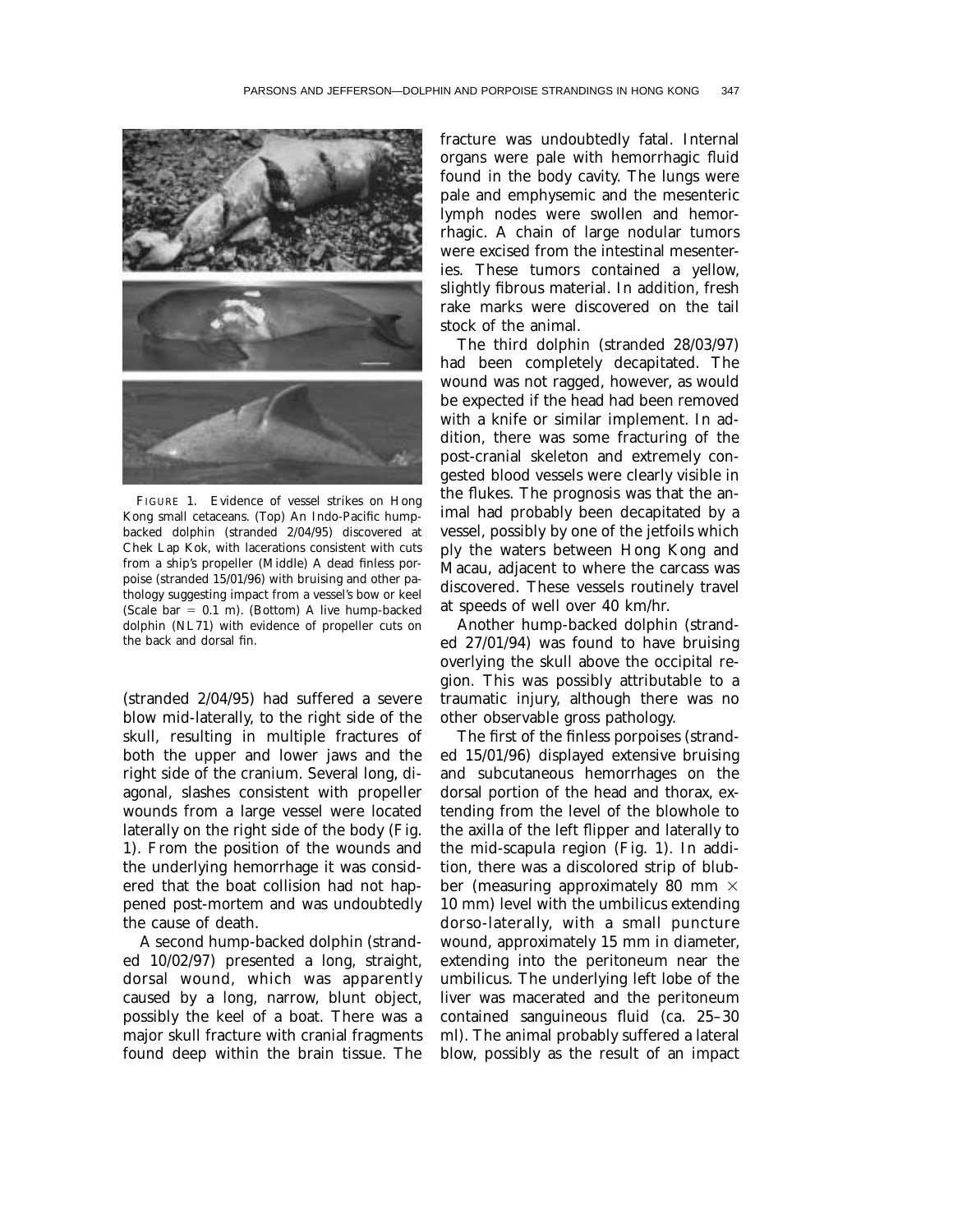

FIGURE 1. Evidence of vessel strikes on Hong Kong small cetaceans. (Top) An Indo-Pacific humpbacked dolphin (stranded 2/04/95) discovered at Chek Lap Kok, with lacerations consistent with cuts from a ship's propeller (Middle) A dead finless porpoise (stranded 15/01/96) with bruising and other pathology suggesting impact from a vessel's bow or keel (Scale bar  $= 0.1$  m). (Bottom) A live hump-backed dolphin (NL71) with evidence of propeller cuts on the back and dorsal fin.

(stranded 2/04/95) had suffered a severe blow mid-laterally, to the right side of the skull, resulting in multiple fractures of both the upper and lower jaws and the right side of the cranium. Several long, diagonal, slashes consistent with propeller wounds from a large vessel were located laterally on the right side of the body (Fig. 1). From the position of the wounds and the underlying hemorrhage it was considered that the boat collision had not happened post-mortem and was undoubtedly the cause of death.

A second hump-backed dolphin (stranded 10/02/97) presented a long, straight, dorsal wound, which was apparently caused by a long, narrow, blunt object, possibly the keel of a boat. There was a major skull fracture with cranial fragments found deep within the brain tissue. The

fracture was undoubtedly fatal. Internal organs were pale with hemorrhagic fluid found in the body cavity. The lungs were pale and emphysemic and the mesenteric lymph nodes were swollen and hemorrhagic. A chain of large nodular tumors were excised from the intestinal mesenteries. These tumors contained a yellow, slightly fibrous material. In addition, fresh rake marks were discovered on the tail stock of the animal.

The third dolphin (stranded 28/03/97) had been completely decapitated. The wound was not ragged, however, as would be expected if the head had been removed with a knife or similar implement. In addition, there was some fracturing of the post-cranial skeleton and extremely congested blood vessels were clearly visible in the flukes. The prognosis was that the animal had probably been decapitated by a vessel, possibly by one of the jetfoils which ply the waters between Hong Kong and Macau, adjacent to where the carcass was discovered. These vessels routinely travel at speeds of well over 40 km/hr.

Another hump-backed dolphin (stranded 27/01/94) was found to have bruising overlying the skull above the occipital region. This was possibly attributable to a traumatic injury, although there was no other observable gross pathology.

The first of the finless porpoises (stranded 15/01/96) displayed extensive bruising and subcutaneous hemorrhages on the dorsal portion of the head and thorax, extending from the level of the blowhole to the axilla of the left flipper and laterally to the mid-scapula region (Fig. 1). In addition, there was a discolored strip of blubber (measuring approximately 80 mm  $\times$ 10 mm) level with the umbilicus extending dorso-laterally, with a small puncture wound, approximately 15 mm in diameter, extending into the peritoneum near the umbilicus. The underlying left lobe of the liver was macerated and the peritoneum contained sanguineous fluid (ca. 25–30 ml). The animal probably suffered a lateral blow, possibly as the result of an impact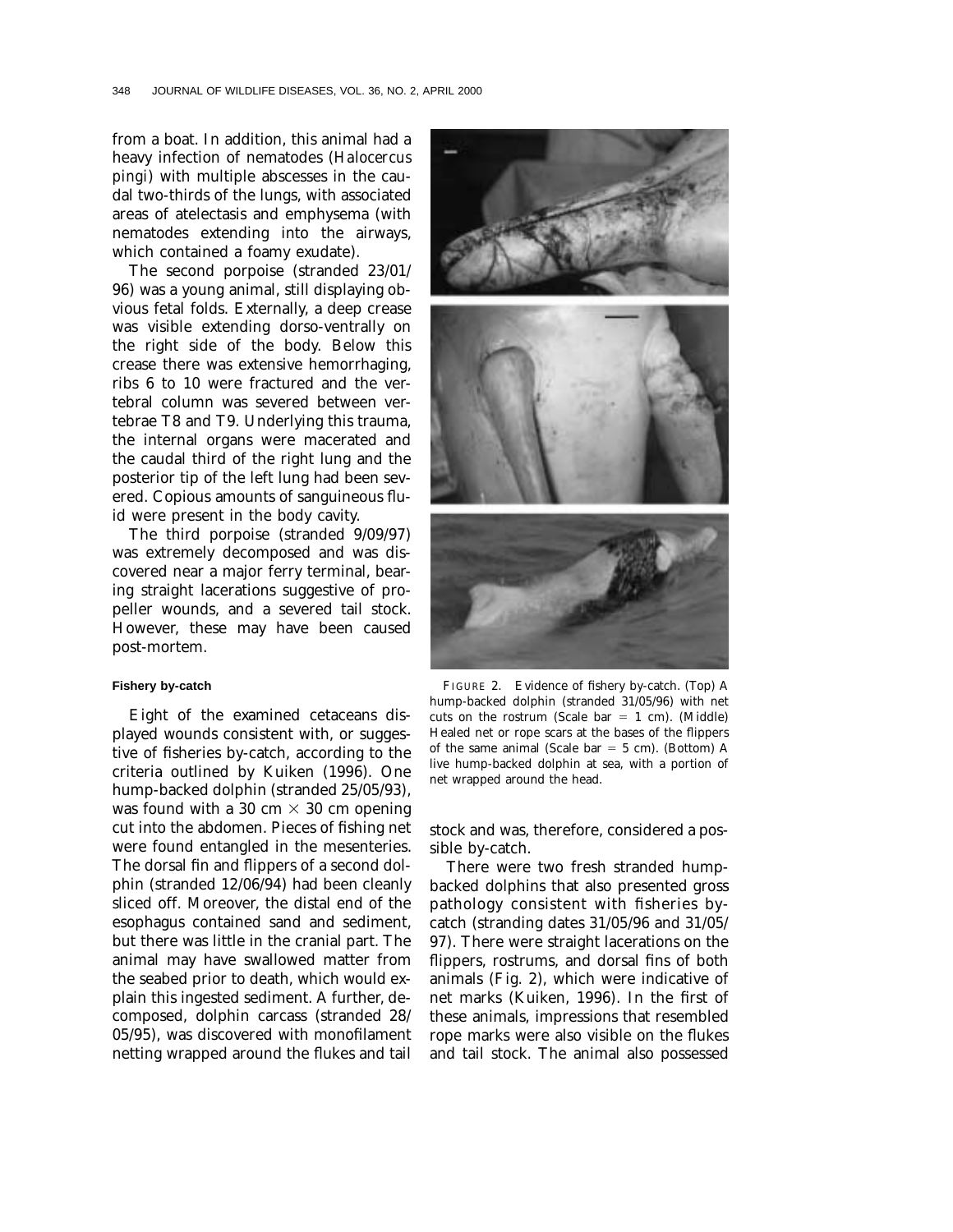from a boat. In addition, this animal had a heavy infection of nematodes (*Halocercus pingi*) with multiple abscesses in the caudal two-thirds of the lungs, with associated areas of atelectasis and emphysema (with nematodes extending into the airways, which contained a foamy exudate).

The second porpoise (stranded 23/01/ 96) was a young animal, still displaying obvious fetal folds. Externally, a deep crease was visible extending dorso-ventrally on the right side of the body. Below this crease there was extensive hemorrhaging, ribs 6 to 10 were fractured and the vertebral column was severed between vertebrae T8 and T9. Underlying this trauma, the internal organs were macerated and the caudal third of the right lung and the posterior tip of the left lung had been severed. Copious amounts of sanguineous fluid were present in the body cavity.

The third porpoise (stranded 9/09/97) was extremely decomposed and was discovered near a major ferry terminal, bearing straight lacerations suggestive of propeller wounds, and a severed tail stock. However, these may have been caused post-mortem.

#### **Fishery by-catch**

Eight of the examined cetaceans displayed wounds consistent with, or suggestive of fisheries by-catch, according to the criteria outlined by Kuiken (1996). One hump-backed dolphin (stranded 25/05/93), was found with a 30 cm  $\times$  30 cm opening cut into the abdomen. Pieces of fishing net were found entangled in the mesenteries. The dorsal fin and flippers of a second dolphin (stranded 12/06/94) had been cleanly sliced off. Moreover, the distal end of the esophagus contained sand and sediment, but there was little in the cranial part. The animal may have swallowed matter from the seabed prior to death, which would explain this ingested sediment. A further, decomposed, dolphin carcass (stranded 28/ 05/95), was discovered with monofilament netting wrapped around the flukes and tail



FIGURE 2. Evidence of fishery by-catch. (Top) A hump-backed dolphin (stranded 31/05/96) with net cuts on the rostrum (Scale bar  $= 1$  cm). (Middle) Healed net or rope scars at the bases of the flippers of the same animal (Scale bar  $= 5$  cm). (Bottom) A live hump-backed dolphin at sea, with a portion of net wrapped around the head.

stock and was, therefore, considered a possible by-catch.

There were two fresh stranded humpbacked dolphins that also presented gross pathology consistent with fisheries bycatch (stranding dates 31/05/96 and 31/05/ 97). There were straight lacerations on the flippers, rostrums, and dorsal fins of both animals (Fig. 2), which were indicative of net marks (Kuiken, 1996). In the first of these animals, impressions that resembled rope marks were also visible on the flukes and tail stock. The animal also possessed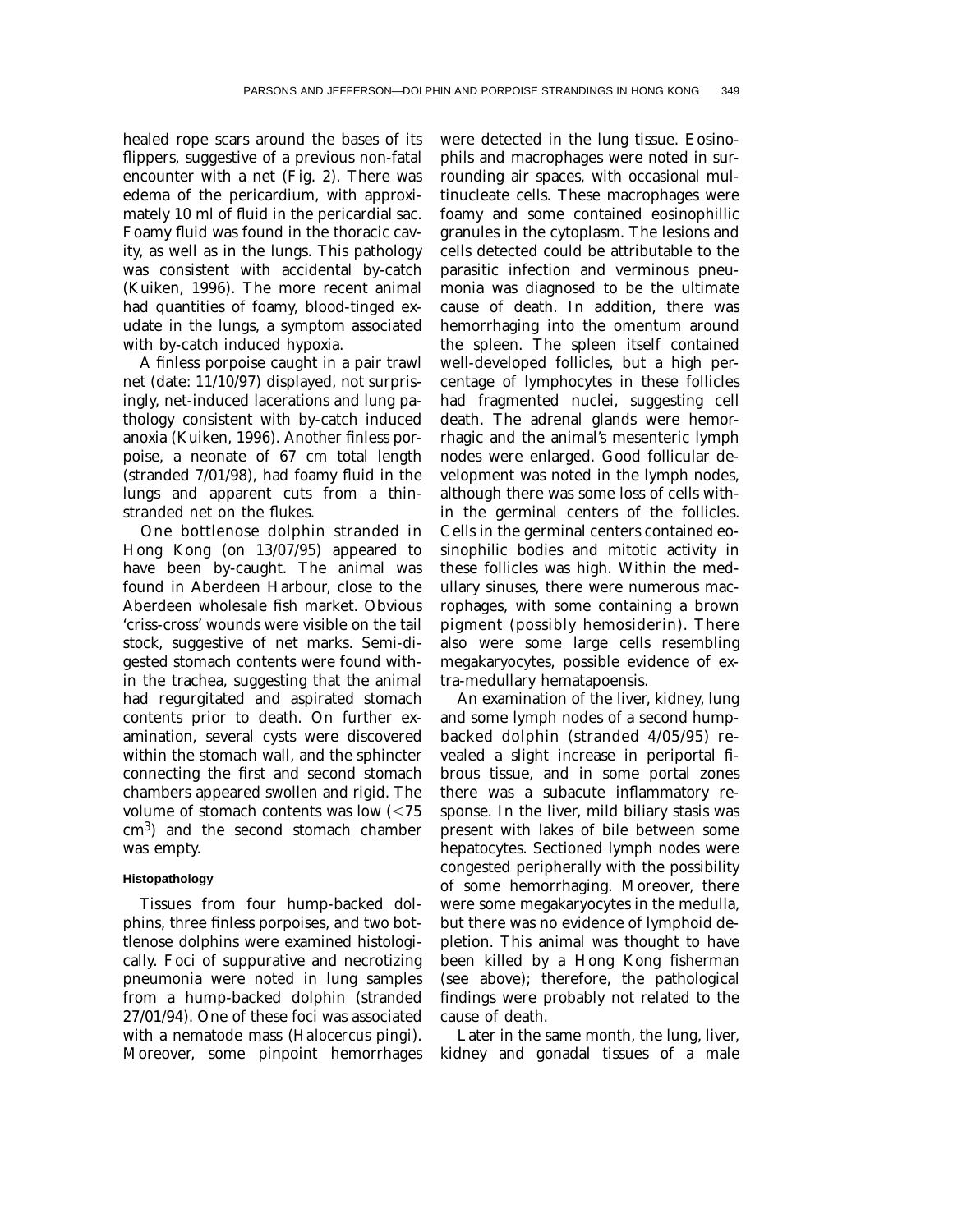healed rope scars around the bases of its flippers, suggestive of a previous non-fatal encounter with a net (Fig. 2). There was edema of the pericardium, with approximately 10 ml of fluid in the pericardial sac. Foamy fluid was found in the thoracic cavity, as well as in the lungs. This pathology was consistent with accidental by-catch (Kuiken, 1996). The more recent animal had quantities of foamy, blood-tinged exudate in the lungs, a symptom associated with by-catch induced hypoxia.

A finless porpoise caught in a pair trawl net (date: 11/10/97) displayed, not surprisingly, net-induced lacerations and lung pathology consistent with by-catch induced anoxia (Kuiken, 1996). Another finless porpoise, a neonate of 67 cm total length (stranded 7/01/98), had foamy fluid in the lungs and apparent cuts from a thinstranded net on the flukes.

One bottlenose dolphin stranded in Hong Kong (on 13/07/95) appeared to have been by-caught. The animal was found in Aberdeen Harbour, close to the Aberdeen wholesale fish market. Obvious 'criss-cross' wounds were visible on the tail stock, suggestive of net marks. Semi-digested stomach contents were found within the trachea, suggesting that the animal had regurgitated and aspirated stomach contents prior to death. On further examination, several cysts were discovered within the stomach wall, and the sphincter connecting the first and second stomach chambers appeared swollen and rigid. The volume of stomach contents was low  $\left( \langle 75 \rangle \right)$ cm3) and the second stomach chamber was empty.

## **Histopathology**

Tissues from four hump-backed dolphins, three finless porpoises, and two bottlenose dolphins were examined histologically. Foci of suppurative and necrotizing pneumonia were noted in lung samples from a hump-backed dolphin (stranded 27/01/94). One of these foci was associated with a nematode mass (*Halocercus pingi*). Moreover, some pinpoint hemorrhages were detected in the lung tissue. Eosinophils and macrophages were noted in surrounding air spaces, with occasional multinucleate cells. These macrophages were foamy and some contained eosinophillic granules in the cytoplasm. The lesions and cells detected could be attributable to the parasitic infection and verminous pneumonia was diagnosed to be the ultimate cause of death. In addition, there was hemorrhaging into the omentum around the spleen. The spleen itself contained well-developed follicles, but a high percentage of lymphocytes in these follicles had fragmented nuclei, suggesting cell death. The adrenal glands were hemorrhagic and the animal's mesenteric lymph nodes were enlarged. Good follicular development was noted in the lymph nodes, although there was some loss of cells within the germinal centers of the follicles. Cells in the germinal centers contained eosinophilic bodies and mitotic activity in these follicles was high. Within the medullary sinuses, there were numerous macrophages, with some containing a brown pigment (possibly hemosiderin). There also were some large cells resembling megakaryocytes, possible evidence of extra-medullary hematapoensis.

An examination of the liver, kidney, lung and some lymph nodes of a second humpbacked dolphin (stranded 4/05/95) revealed a slight increase in periportal fibrous tissue, and in some portal zones there was a subacute inflammatory response. In the liver, mild biliary stasis was present with lakes of bile between some hepatocytes. Sectioned lymph nodes were congested peripherally with the possibility of some hemorrhaging. Moreover, there were some megakaryocytes in the medulla, but there was no evidence of lymphoid depletion. This animal was thought to have been killed by a Hong Kong fisherman (see above); therefore, the pathological findings were probably not related to the cause of death.

Later in the same month, the lung, liver, kidney and gonadal tissues of a male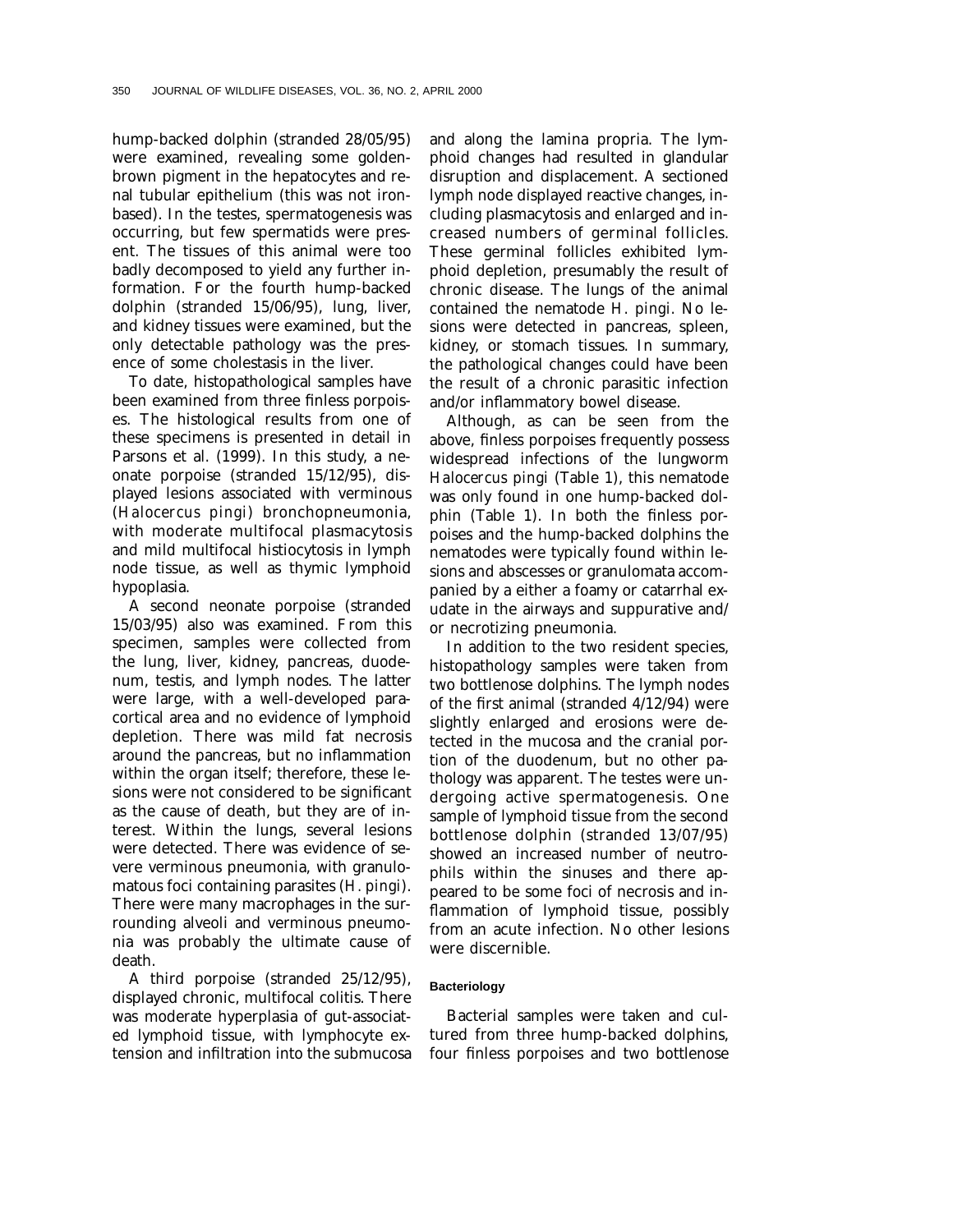hump-backed dolphin (stranded 28/05/95) were examined, revealing some goldenbrown pigment in the hepatocytes and renal tubular epithelium (this was not ironbased). In the testes, spermatogenesis was occurring, but few spermatids were present. The tissues of this animal were too badly decomposed to yield any further information. For the fourth hump-backed dolphin (stranded 15/06/95), lung, liver, and kidney tissues were examined, but the only detectable pathology was the presence of some cholestasis in the liver.

To date, histopathological samples have been examined from three finless porpoises. The histological results from one of these specimens is presented in detail in Parsons et al. (1999). In this study, a neonate porpoise (stranded 15/12/95), displayed lesions associated with verminous (*Halocercus pingi*) bronchopneumonia, with moderate multifocal plasmacytosis and mild multifocal histiocytosis in lymph node tissue, as well as thymic lymphoid hypoplasia.

A second neonate porpoise (stranded 15/03/95) also was examined. From this specimen, samples were collected from the lung, liver, kidney, pancreas, duodenum, testis, and lymph nodes. The latter were large, with a well-developed paracortical area and no evidence of lymphoid depletion. There was mild fat necrosis around the pancreas, but no inflammation within the organ itself; therefore, these lesions were not considered to be significant as the cause of death, but they are of interest. Within the lungs, several lesions were detected. There was evidence of severe verminous pneumonia, with granulomatous foci containing parasites (*H. pingi*). There were many macrophages in the surrounding alveoli and verminous pneumonia was probably the ultimate cause of death.

A third porpoise (stranded 25/12/95), displayed chronic, multifocal colitis. There was moderate hyperplasia of gut-associated lymphoid tissue, with lymphocyte extension and infiltration into the submucosa

and along the lamina propria. The lymphoid changes had resulted in glandular disruption and displacement. A sectioned lymph node displayed reactive changes, including plasmacytosis and enlarged and increased numbers of germinal follicles. These germinal follicles exhibited lymphoid depletion, presumably the result of chronic disease. The lungs of the animal contained the nematode *H. pingi.* No lesions were detected in pancreas, spleen, kidney, or stomach tissues. In summary, the pathological changes could have been the result of a chronic parasitic infection and/or inflammatory bowel disease.

Although, as can be seen from the above, finless porpoises frequently possess widespread infections of the lungworm *Halocercus pingi* (Table 1), this nematode was only found in one hump-backed dolphin (Table 1). In both the finless porpoises and the hump-backed dolphins the nematodes were typically found within lesions and abscesses or granulomata accompanied by a either a foamy or catarrhal exudate in the airways and suppurative and/ or necrotizing pneumonia.

In addition to the two resident species, histopathology samples were taken from two bottlenose dolphins. The lymph nodes of the first animal (stranded 4/12/94) were slightly enlarged and erosions were detected in the mucosa and the cranial portion of the duodenum, but no other pathology was apparent. The testes were undergoing active spermatogenesis. One sample of lymphoid tissue from the second bottlenose dolphin (stranded 13/07/95) showed an increased number of neutrophils within the sinuses and there appeared to be some foci of necrosis and inflammation of lymphoid tissue, possibly from an acute infection. No other lesions were discernible.

#### **Bacteriology**

Bacterial samples were taken and cultured from three hump-backed dolphins, four finless porpoises and two bottlenose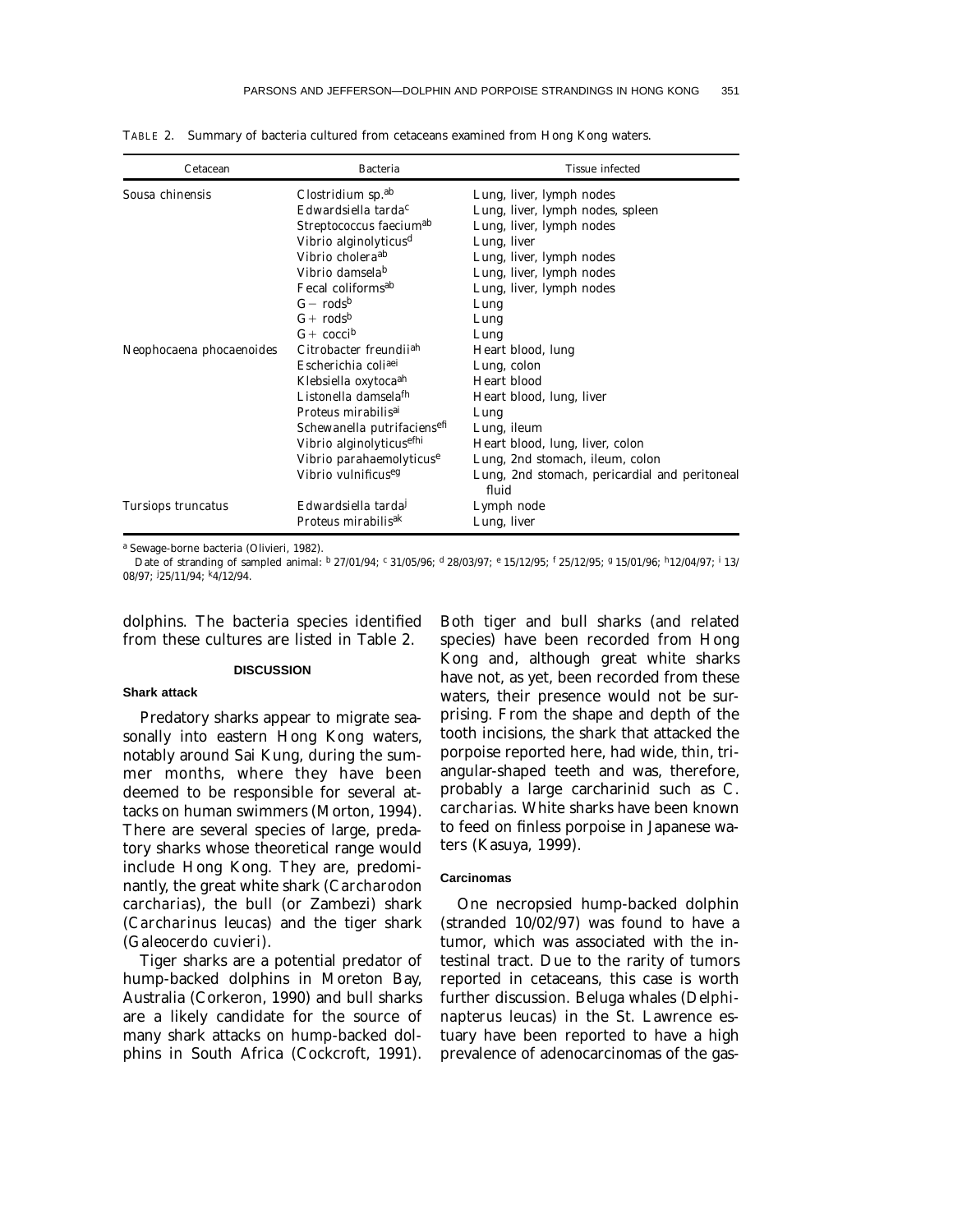| Cetacean                                    | <b>Bacteria</b>                                                                                                                                                                                                                                                                                                                                                                                           | Tissue infected                                                                                                                                                                                                                                                                                    |
|---------------------------------------------|-----------------------------------------------------------------------------------------------------------------------------------------------------------------------------------------------------------------------------------------------------------------------------------------------------------------------------------------------------------------------------------------------------------|----------------------------------------------------------------------------------------------------------------------------------------------------------------------------------------------------------------------------------------------------------------------------------------------------|
| Sousa chinensis<br>Neophocaena phocaenoides | Clostridium sp. <sup>ab</sup><br>$Edward$ siella tarda $c$<br>Streptococcus faecium <sup>ab</sup><br>Vibrio alginolyticus <sup>d</sup><br>Vibrio cholera <sup>ab</sup><br>Vibrio damsela <sup>b</sup><br>Fecal coliforms <sup>ab</sup><br>$G-rods^b$<br>$G+rods^b$<br>$G+coci^b$<br>Citrobacter freunditah<br>Escherichia coliaei<br>Klebsiella oxytoca <sup>ah</sup><br>Listonella damsela <sup>fh</sup> | Lung, liver, lymph nodes<br>Lung, liver, lymph nodes, spleen<br>Lung, liver, lymph nodes<br>Lung, liver<br>Lung, liver, lymph nodes<br>Lung, liver, lymph nodes<br>Lung, liver, lymph nodes<br>Lung<br>Lung<br>Lung<br>Heart blood, lung<br>Lung, colon<br>Heart blood<br>Heart blood, lung, liver |
| Tursiops truncatus                          | Proteus mirabilisai<br>Schewanella putrifaciensefi<br>Vibrio alginolyticusethi<br>Vibrio parahaemolyticuse<br>Vibrio vulnificus <sup>eg</sup><br>Edwardsiella tarda<br>Proteus mirabilis <sup>ak</sup>                                                                                                                                                                                                    | Lung<br>Lung, ileum<br>Heart blood, lung, liver, colon<br>Lung, 2nd stomach, ileum, colon<br>Lung, 2nd stomach, pericardial and peritoneal<br>fluid<br>Lymph node<br>Lung, liver                                                                                                                   |

TABLE 2. Summary of bacteria cultured from cetaceans examined from Hong Kong waters.

<sup>a</sup> Sewage-borne bacteria (Olivieri, 1982).

Date of stranding of sampled animal:  $b$  27/01/94;  $c$  31/05/96; d 28/03/97; e 15/12/95; f 25/12/95; f 15/01/96; h12/04/97; i 13/ 08/97; <sup>j</sup> 25/11/94; k4/12/94.

dolphins. The bacteria species identified from these cultures are listed in Table 2.

#### **DISCUSSION**

#### **Shark attack**

Predatory sharks appear to migrate seasonally into eastern Hong Kong waters, notably around Sai Kung, during the summer months, where they have been deemed to be responsible for several attacks on human swimmers (Morton, 1994). There are several species of large, predatory sharks whose theoretical range would include Hong Kong. They are, predominantly, the great white shark (*Carcharodon carcharias*), the bull (or Zambezi) shark (*Carcharinus leucas*) and the tiger shark (*Galeocerdo cuvieri*).

Tiger sharks are a potential predator of hump-backed dolphins in Moreton Bay, Australia (Corkeron, 1990) and bull sharks are a likely candidate for the source of many shark attacks on hump-backed dolphins in South Africa (Cockcroft, 1991).

Both tiger and bull sharks (and related species) have been recorded from Hong Kong and, although great white sharks have not, as yet, been recorded from these waters, their presence would not be surprising. From the shape and depth of the tooth incisions, the shark that attacked the porpoise reported here, had wide, thin, triangular-shaped teeth and was, therefore, probably a large carcharinid such as *C. carcharias.* White sharks have been known to feed on finless porpoise in Japanese waters (Kasuya, 1999).

#### **Carcinomas**

One necropsied hump-backed dolphin (stranded 10/02/97) was found to have a tumor, which was associated with the intestinal tract. Due to the rarity of tumors reported in cetaceans, this case is worth further discussion. Beluga whales (*Delphinapterus leucas*) in the St. Lawrence estuary have been reported to have a high prevalence of adenocarcinomas of the gas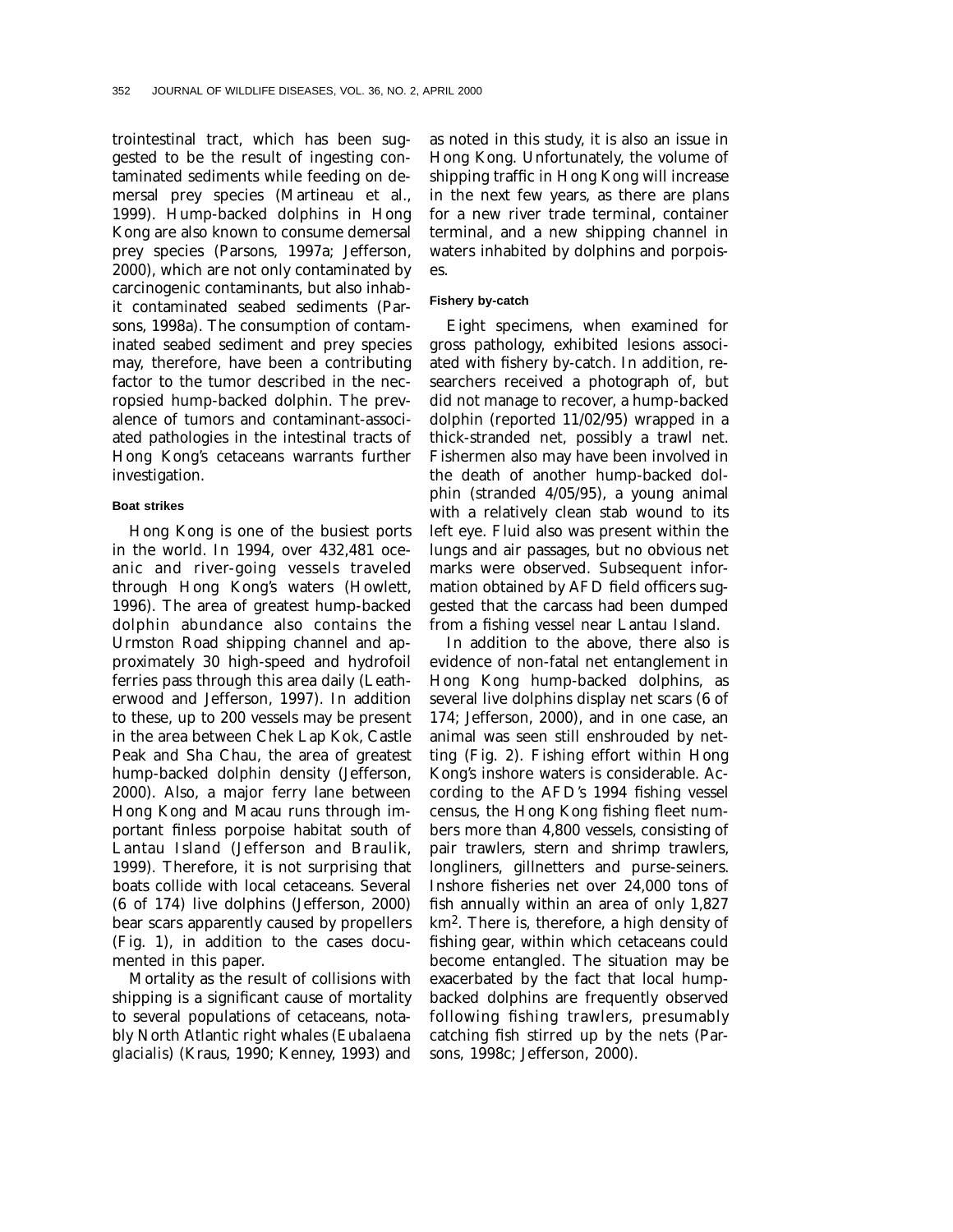trointestinal tract, which has been suggested to be the result of ingesting contaminated sediments while feeding on demersal prey species (Martineau et al., 1999). Hump-backed dolphins in Hong Kong are also known to consume demersal prey species (Parsons, 1997a; Jefferson, 2000), which are not only contaminated by carcinogenic contaminants, but also inhabit contaminated seabed sediments (Parsons, 1998a). The consumption of contaminated seabed sediment and prey species may, therefore, have been a contributing factor to the tumor described in the necropsied hump-backed dolphin. The prevalence of tumors and contaminant-associated pathologies in the intestinal tracts of Hong Kong's cetaceans warrants further investigation.

## **Boat strikes**

Hong Kong is one of the busiest ports in the world. In 1994, over 432,481 oceanic and river-going vessels traveled through Hong Kong's waters (Howlett, 1996). The area of greatest hump-backed dolphin abundance also contains the Urmston Road shipping channel and approximately 30 high-speed and hydrofoil ferries pass through this area daily (Leatherwood and Jefferson, 1997). In addition to these, up to 200 vessels may be present in the area between Chek Lap Kok, Castle Peak and Sha Chau, the area of greatest hump-backed dolphin density (Jefferson, 2000). Also, a major ferry lane between Hong Kong and Macau runs through important finless porpoise habitat south of Lantau Island (Jefferson and Braulik, 1999). Therefore, it is not surprising that boats collide with local cetaceans. Several (6 of 174) live dolphins (Jefferson, 2000) bear scars apparently caused by propellers (Fig. 1), in addition to the cases documented in this paper.

Mortality as the result of collisions with shipping is a significant cause of mortality to several populations of cetaceans, notably North Atlantic right whales (*Eubalaena glacialis*) (Kraus, 1990; Kenney, 1993) and as noted in this study, it is also an issue in Hong Kong. Unfortunately, the volume of shipping traffic in Hong Kong will increase in the next few years, as there are plans for a new river trade terminal, container terminal, and a new shipping channel in waters inhabited by dolphins and porpoises.

## **Fishery by-catch**

Eight specimens, when examined for gross pathology, exhibited lesions associated with fishery by-catch. In addition, researchers received a photograph of, but did not manage to recover, a hump-backed dolphin (reported 11/02/95) wrapped in a thick-stranded net, possibly a trawl net. Fishermen also may have been involved in the death of another hump-backed dolphin (stranded 4/05/95), a young animal with a relatively clean stab wound to its left eye. Fluid also was present within the lungs and air passages, but no obvious net marks were observed. Subsequent information obtained by AFD field officers suggested that the carcass had been dumped from a fishing vessel near Lantau Island.

In addition to the above, there also is evidence of non-fatal net entanglement in Hong Kong hump-backed dolphins, as several live dolphins display net scars (6 of 174; Jefferson, 2000), and in one case, an animal was seen still enshrouded by netting (Fig. 2). Fishing effort within Hong Kong's inshore waters is considerable. According to the AFD's 1994 fishing vessel census, the Hong Kong fishing fleet numbers more than 4,800 vessels, consisting of pair trawlers, stern and shrimp trawlers, longliners, gillnetters and purse-seiners. Inshore fisheries net over 24,000 tons of fish annually within an area of only 1,827 km<sup>2</sup>. There is, therefore, a high density of fishing gear, within which cetaceans could become entangled. The situation may be exacerbated by the fact that local humpbacked dolphins are frequently observed following fishing trawlers, presumably catching fish stirred up by the nets (Parsons, 1998c; Jefferson, 2000).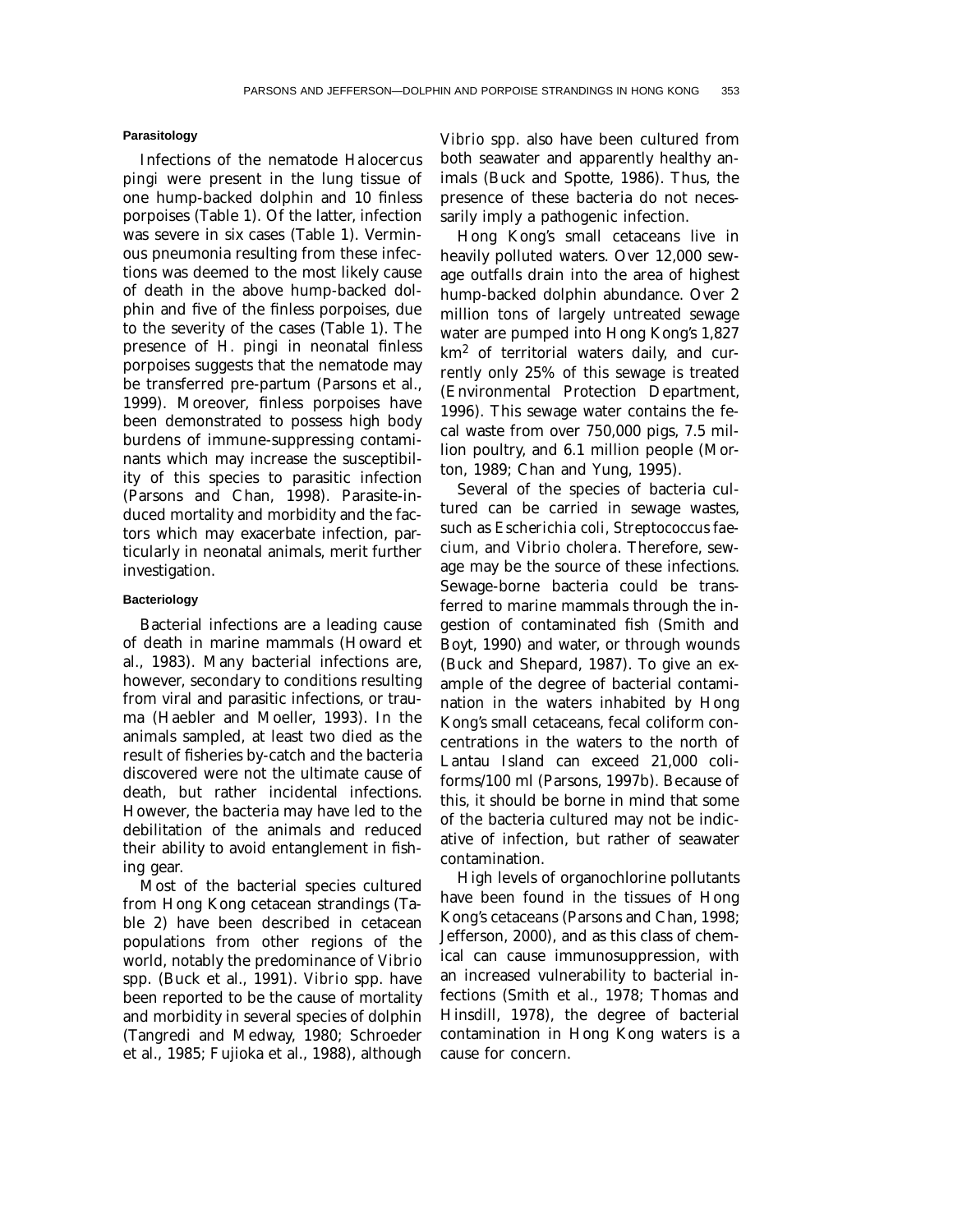## **Parasitology**

Infections of the nematode *Halocercus pingi* were present in the lung tissue of one hump-backed dolphin and 10 finless porpoises (Table 1). Of the latter, infection was severe in six cases (Table 1). Verminous pneumonia resulting from these infections was deemed to the most likely cause of death in the above hump-backed dolphin and five of the finless porpoises, due to the severity of the cases (Table 1). The presence of *H. pingi* in neonatal finless porpoises suggests that the nematode may be transferred pre-partum (Parsons et al., 1999). Moreover, finless porpoises have been demonstrated to possess high body burdens of immune-suppressing contaminants which may increase the susceptibility of this species to parasitic infection (Parsons and Chan, 1998). Parasite-induced mortality and morbidity and the factors which may exacerbate infection, particularly in neonatal animals, merit further investigation.

## **Bacteriology**

Bacterial infections are a leading cause of death in marine mammals (Howard et al., 1983). Many bacterial infections are, however, secondary to conditions resulting from viral and parasitic infections, or trauma (Haebler and Moeller, 1993). In the animals sampled, at least two died as the result of fisheries by-catch and the bacteria discovered were not the ultimate cause of death, but rather incidental infections. However, the bacteria may have led to the debilitation of the animals and reduced their ability to avoid entanglement in fishing gear.

Most of the bacterial species cultured from Hong Kong cetacean strandings (Table 2) have been described in cetacean populations from other regions of the world, notably the predominance of *Vibrio* spp. (Buck et al., 1991). *Vibrio* spp. have been reported to be the cause of mortality and morbidity in several species of dolphin (Tangredi and Medway, 1980; Schroeder et al., 1985; Fujioka et al., 1988), although

*Vibrio* spp. also have been cultured from both seawater and apparently healthy animals (Buck and Spotte, 1986). Thus, the presence of these bacteria do not necessarily imply a pathogenic infection.

Hong Kong's small cetaceans live in heavily polluted waters. Over 12,000 sewage outfalls drain into the area of highest hump-backed dolphin abundance. Over 2 million tons of largely untreated sewage water are pumped into Hong Kong's 1,827 km2 of territorial waters daily, and currently only 25% of this sewage is treated (Environmental Protection Department, 1996). This sewage water contains the fecal waste from over 750,000 pigs, 7.5 million poultry, and 6.1 million people (Morton, 1989; Chan and Yung, 1995).

Several of the species of bacteria cultured can be carried in sewage wastes, such as *Escherichia coli, Streptococcus faecium,* and *Vibrio cholera.* Therefore, sewage may be the source of these infections. Sewage-borne bacteria could be transferred to marine mammals through the ingestion of contaminated fish (Smith and Boyt, 1990) and water, or through wounds (Buck and Shepard, 1987). To give an example of the degree of bacterial contamination in the waters inhabited by Hong Kong's small cetaceans, fecal coliform concentrations in the waters to the north of Lantau Island can exceed 21,000 coliforms/100 ml (Parsons, 1997b). Because of this, it should be borne in mind that some of the bacteria cultured may not be indicative of infection, but rather of seawater contamination.

High levels of organochlorine pollutants have been found in the tissues of Hong Kong's cetaceans (Parsons and Chan, 1998; Jefferson, 2000), and as this class of chemical can cause immunosuppression, with an increased vulnerability to bacterial infections (Smith et al., 1978; Thomas and Hinsdill, 1978), the degree of bacterial contamination in Hong Kong waters is a cause for concern.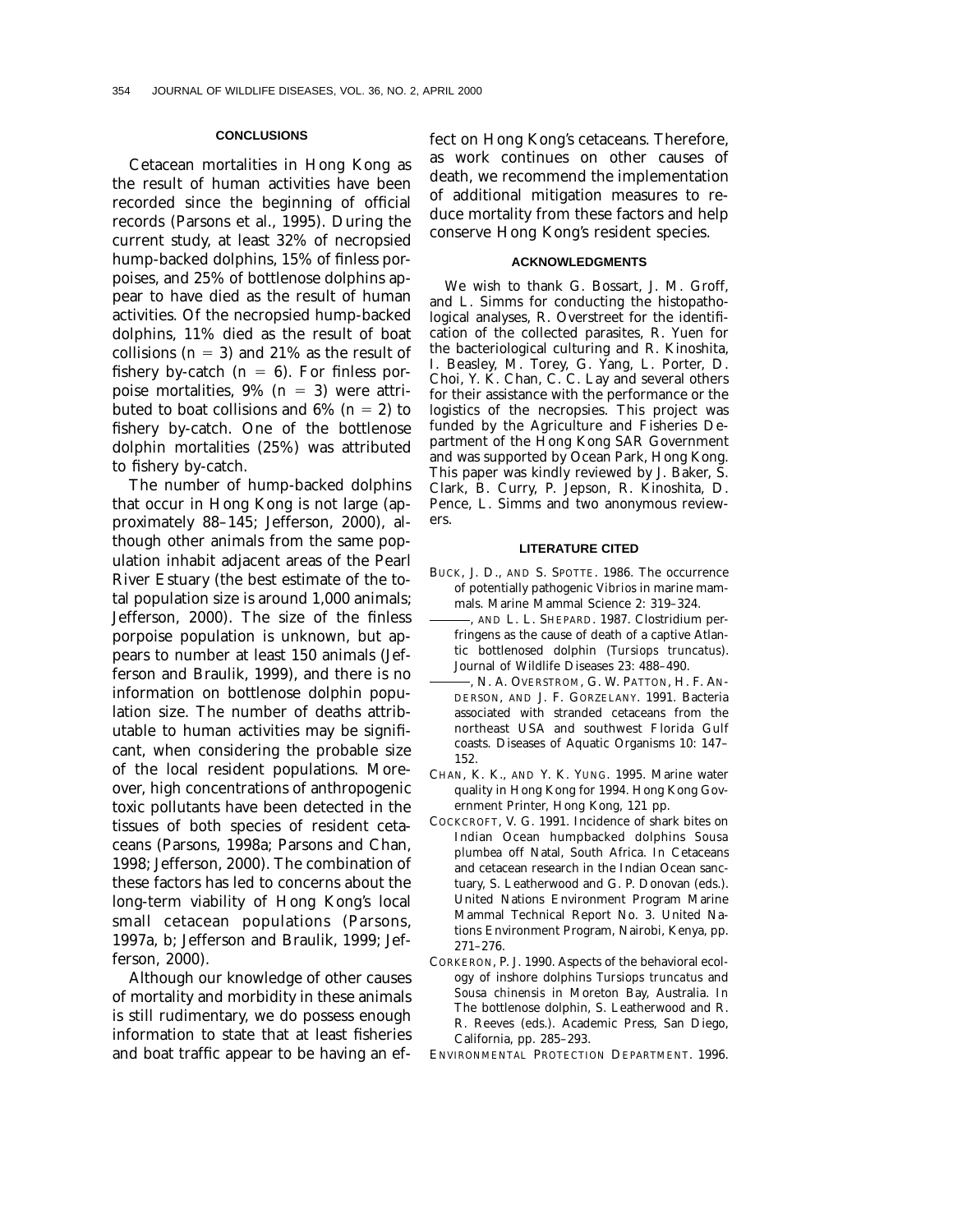#### **CONCLUSIONS**

Cetacean mortalities in Hong Kong as the result of human activities have been recorded since the beginning of official records (Parsons et al., 1995). During the current study, at least 32% of necropsied hump-backed dolphins, 15% of finless porpoises, and 25% of bottlenose dolphins appear to have died as the result of human activities. Of the necropsied hump-backed dolphins, 11% died as the result of boat collisions  $(n = 3)$  and 21% as the result of fishery by-catch  $(n = 6)$ . For finless porpoise mortalities,  $9\%$  ( $n = 3$ ) were attributed to boat collisions and  $6\%$  ( $n = 2$ ) to fishery by-catch. One of the bottlenose dolphin mortalities (25%) was attributed to fishery by-catch.

The number of hump-backed dolphins that occur in Hong Kong is not large (approximately 88–145; Jefferson, 2000), although other animals from the same population inhabit adjacent areas of the Pearl River Estuary (the best estimate of the total population size is around 1,000 animals; Jefferson, 2000). The size of the finless porpoise population is unknown, but appears to number at least 150 animals (Jefferson and Braulik, 1999), and there is no information on bottlenose dolphin population size. The number of deaths attributable to human activities may be significant, when considering the probable size of the local resident populations. Moreover, high concentrations of anthropogenic toxic pollutants have been detected in the tissues of both species of resident cetaceans (Parsons, 1998a; Parsons and Chan, 1998; Jefferson, 2000). The combination of these factors has led to concerns about the long-term viability of Hong Kong's local small cetacean populations (Parsons, 1997a, b; Jefferson and Braulik, 1999; Jefferson, 2000).

Although our knowledge of other causes of mortality and morbidity in these animals is still rudimentary, we do possess enough information to state that at least fisheries and boat traffic appear to be having an effect on Hong Kong's cetaceans. Therefore, as work continues on other causes of death, we recommend the implementation of additional mitigation measures to reduce mortality from these factors and help conserve Hong Kong's resident species.

### **ACKNOWLEDGMENTS**

We wish to thank G. Bossart, J. M. Groff, and L. Simms for conducting the histopathological analyses, R. Overstreet for the identification of the collected parasites, R. Yuen for the bacteriological culturing and R. Kinoshita, I. Beasley, M. Torey, G. Yang, L. Porter, D. Choi, Y. K. Chan, C. C. Lay and several others for their assistance with the performance or the logistics of the necropsies. This project was funded by the Agriculture and Fisheries Department of the Hong Kong SAR Government and was supported by Ocean Park, Hong Kong. This paper was kindly reviewed by J. Baker, S. Clark, B. Curry, P. Jepson, R. Kinoshita, D. Pence, L. Simms and two anonymous reviewers.

#### **LITERATURE CITED**

- BUCK, J. D., AND S. SPOTTE. 1986. The occurrence of potentially pathogenic *Vibrios* in marine mammals. Marine Mammal Science 2: 319–324.
- , AND L. L. SHEPARD. 1987. Clostridium perfringens as the cause of death of a captive Atlantic bottlenosed dolphin (*Tursiops truncatus*). Journal of Wildlife Diseases 23: 488–490.
- , N. A. OVERSTROM, G. W. PATTON, H. F. AN-DERSON, AND J. F. GORZELANY. 1991. Bacteria associated with stranded cetaceans from the northeast USA and southwest Florida Gulf coasts. Diseases of Aquatic Organisms 10: 147– 152.
- CHAN, K. K., AND Y. K. YUNG. 1995. Marine water quality in Hong Kong for 1994. Hong Kong Government Printer, Hong Kong, 121 pp.
- COCKCROFT, V. G. 1991. Incidence of shark bites on Indian Ocean humpbacked dolphins *Sousa plumbea* off Natal, South Africa. *In* Cetaceans and cetacean research in the Indian Ocean sanctuary, S. Leatherwood and G. P. Donovan (eds.). United Nations Environment Program Marine Mammal Technical Report No. 3. United Nations Environment Program, Nairobi, Kenya, pp. 271–276.
- CORKERON, P. J. 1990. Aspects of the behavioral ecology of inshore dolphins *Tursiops truncatus* and *Sousa chinensis* in Moreton Bay, Australia. *In* The bottlenose dolphin, S. Leatherwood and R. R. Reeves (eds.). Academic Press, San Diego, California, pp. 285–293.
- ENVIRONMENTAL PROTECTION DEPARTMENT. 1996.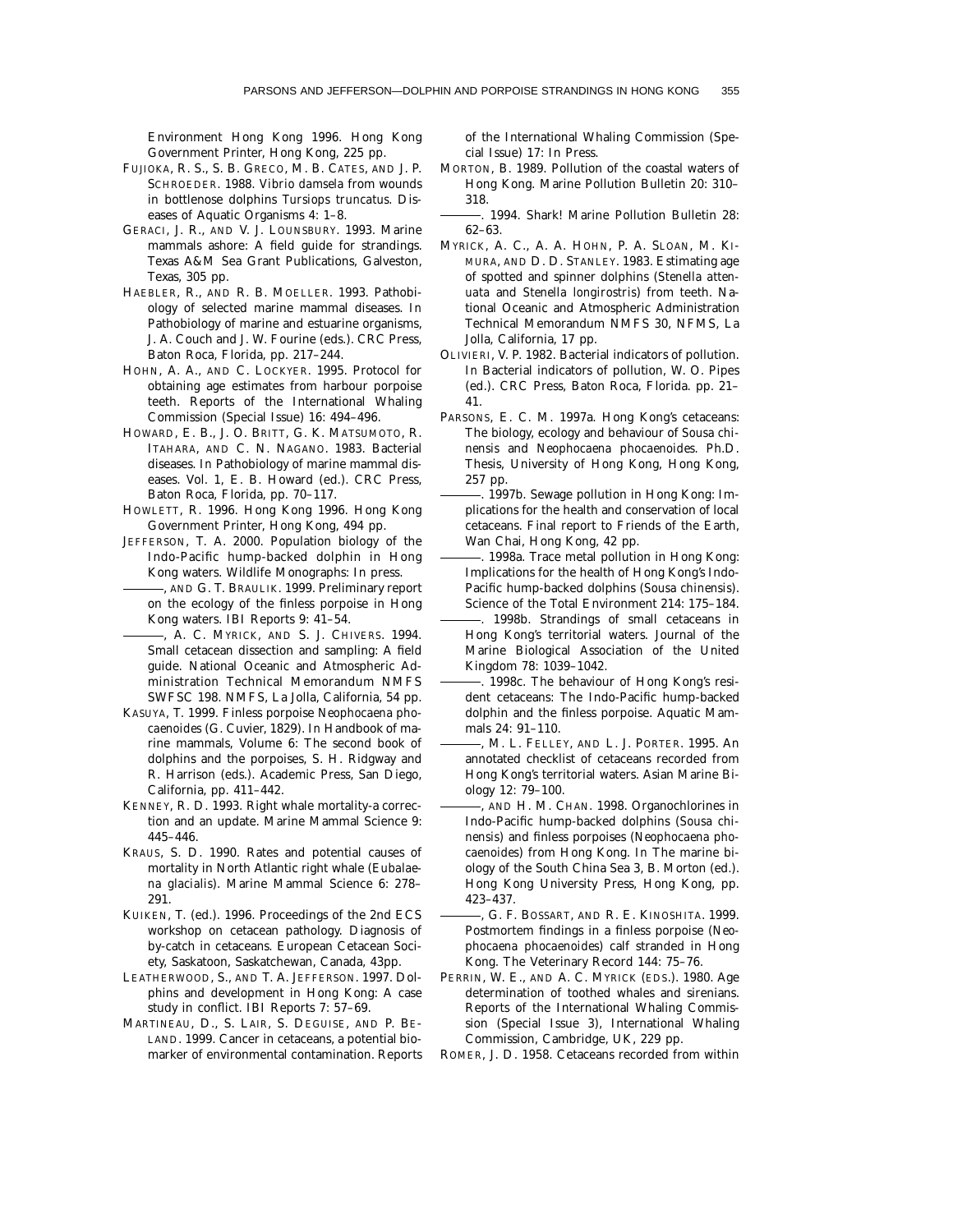Environment Hong Kong 1996. Hong Kong Government Printer, Hong Kong, 225 pp.

- FUJIOKA, R. S., S. B. GRECO, M. B. CATES, AND J. P. SCHROEDER. 1988. *Vibrio damsela* from wounds in bottlenose dolphins *Tursiops truncatus.* Diseases of Aquatic Organisms 4: 1–8.
- GERACI, J. R., AND V. J. LOUNSBURY. 1993. Marine mammals ashore: A field guide for strandings. Texas A&M Sea Grant Publications, Galveston, Texas, 305 pp.
- HAEBLER, R., AND R. B. MOELLER. 1993. Pathobiology of selected marine mammal diseases. *In* Pathobiology of marine and estuarine organisms, J. A. Couch and J. W. Fourine (eds.). CRC Press, Baton Roca, Florida, pp. 217–244.
- HOHN, A. A., AND C. LOCKYER. 1995. Protocol for obtaining age estimates from harbour porpoise teeth. Reports of the International Whaling Commission (Special Issue) 16: 494–496.
- HOWARD, E. B., J. O. BRITT, G. K. MATSUMOTO, R. ITAHARA, AND C. N. NAGANO. 1983. Bacterial diseases. *In* Pathobiology of marine mammal diseases. Vol. 1, E. B. Howard (ed.). CRC Press, Baton Roca, Florida, pp. 70–117.
- HOWLETT, R. 1996. Hong Kong 1996. Hong Kong Government Printer, Hong Kong, 494 pp.
- JEFFERSON, T. A. 2000. Population biology of the Indo-Pacific hump-backed dolphin in Hong Kong waters. Wildlife Monographs: In press.
	- , AND G. T. BRAULIK. 1999. Preliminary report on the ecology of the finless porpoise in Hong Kong waters. IBI Reports 9: 41–54.
- , A. C. MYRICK, AND S. J. CHIVERS. 1994. Small cetacean dissection and sampling: A field guide. National Oceanic and Atmospheric Administration Technical Memorandum NMFS SWFSC 198. NMFS, La Jolla, California, 54 pp.
- KASUYA, T. 1999. Finless porpoise *Neophocaena phocaenoides* (G. Cuvier, 1829). *In* Handbook of marine mammals, Volume 6: The second book of dolphins and the porpoises, S. H. Ridgway and R. Harrison (eds.). Academic Press, San Diego, California, pp. 411–442.
- KENNEY, R. D. 1993. Right whale mortality-a correction and an update. Marine Mammal Science 9: 445–446.
- KRAUS, S. D. 1990. Rates and potential causes of mortality in North Atlantic right whale (*Eubalaena glacialis*). Marine Mammal Science 6: 278– 291.
- KUIKEN, T. (ed.). 1996. Proceedings of the 2nd ECS workshop on cetacean pathology. Diagnosis of by-catch in cetaceans. European Cetacean Society, Saskatoon, Saskatchewan, Canada, 43pp.
- LEATHERWOOD, S., AND T. A. JEFFERSON. 1997. Dolphins and development in Hong Kong: A case study in conflict. IBI Reports 7: 57–69.
- MARTINEAU, D., S. LAIR, S. DEGUISE, AND P. BE-LAND. 1999. Cancer in cetaceans, a potential biomarker of environmental contamination. Reports

of the International Whaling Commission (Special Issue) 17: In Press.

MORTON, B. 1989. Pollution of the coastal waters of Hong Kong. Marine Pollution Bulletin 20: 310– 318.

. 1994. Shark! Marine Pollution Bulletin 28: 62–63.

- MYRICK, A. C., A. A. HOHN, P. A. SLOAN, M. KI-MURA, AND D. D. STANLEY. 1983. Estimating age of spotted and spinner dolphins (*Stenella attenuata* and *Stenella longirostris*) from teeth. National Oceanic and Atmospheric Administration Technical Memorandum NMFS 30, NFMS, La Jolla, California, 17 pp.
- OLIVIERI, V. P. 1982. Bacterial indicators of pollution. *In* Bacterial indicators of pollution, W. O. Pipes (ed.). CRC Press, Baton Roca, Florida. pp. 21– 41.
- PARSONS, E. C. M. 1997a. Hong Kong's cetaceans: The biology, ecology and behaviour of *Sousa chinensis* and *Neophocaena phocaenoides.* Ph.D. Thesis, University of Hong Kong, Hong Kong, 257 pp.
- . 1997b. Sewage pollution in Hong Kong: Implications for the health and conservation of local cetaceans. Final report to Friends of the Earth, Wan Chai, Hong Kong, 42 pp.
- . 1998a. Trace metal pollution in Hong Kong: Implications for the health of Hong Kong's Indo-Pacific hump-backed dolphins (*Sousa chinensis*). Science of the Total Environment 214: 175–184.
- . 1998b. Strandings of small cetaceans in Hong Kong's territorial waters. Journal of the Marine Biological Association of the United Kingdom 78: 1039–1042.
- . 1998c. The behaviour of Hong Kong's resident cetaceans: The Indo-Pacific hump-backed dolphin and the finless porpoise. Aquatic Mammals 24: 91–110.
- , M. L. FELLEY, AND L. J. PORTER. 1995. An annotated checklist of cetaceans recorded from Hong Kong's territorial waters. Asian Marine Biology 12: 79–100.
- , AND H. M. CHAN. 1998. Organochlorines in Indo-Pacific hump-backed dolphins (*Sousa chinensis*) and finless porpoises (*Neophocaena phocaenoides*) from Hong Kong. *In* The marine biology of the South China Sea 3, B. Morton (ed.). Hong Kong University Press, Hong Kong, pp. 423–437.
- , G. F. BOSSART, AND R. E. KINOSHITA. 1999. Postmortem findings in a finless porpoise (*Neophocaena phocaenoides*) calf stranded in Hong Kong. The Veterinary Record 144: 75–76.
- PERRIN, W. E., AND A. C. MYRICK (EDS.). 1980. Age determination of toothed whales and sirenians. Reports of the International Whaling Commission (Special Issue 3), International Whaling Commission, Cambridge, UK, 229 pp.
- ROMER, J. D. 1958. Cetaceans recorded from within